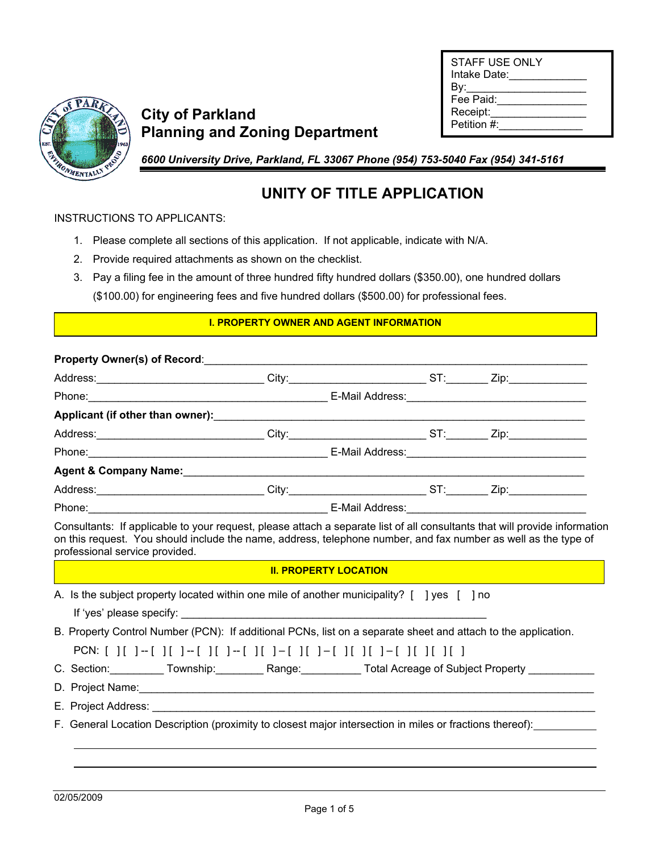| PARK                     |
|--------------------------|
|                          |
| 1963                     |
| <b>HAONMENTALLY TROP</b> |

## **City of Parkland Planning and Zoning Department**

| STAFF USE ONLY<br>Intake Date: |  |
|--------------------------------|--|
| By:                            |  |
| Fee Paid:                      |  |
| Receipt:                       |  |
| Petition #:                    |  |
|                                |  |

*6600 University Drive, Parkland, FL 33067 Phone (954) 753-5040 Fax (954) 341-5161* 

## **UNITY OF TITLE APPLICATION**

INSTRUCTIONS TO APPLICANTS:

- 1. Please complete all sections of this application. If not applicable, indicate with N/A.
- 2. Provide required attachments as shown on the checklist.
- 3. Pay a filing fee in the amount of three hundred fifty hundred dollars (\$350.00), one hundred dollars (\$100.00) for engineering fees and five hundred dollars (\$500.00) for professional fees.

## **I. PROPERTY OWNER AND AGENT INFORMATION**

|                                                                                                                                                  | Address:______________________________City:_________________________ST:_________Zip:________________                                                                                                                           |  |
|--------------------------------------------------------------------------------------------------------------------------------------------------|--------------------------------------------------------------------------------------------------------------------------------------------------------------------------------------------------------------------------------|--|
|                                                                                                                                                  |                                                                                                                                                                                                                                |  |
|                                                                                                                                                  |                                                                                                                                                                                                                                |  |
|                                                                                                                                                  | Address:______________________________City:_________________________ST:_________Zip:________________                                                                                                                           |  |
|                                                                                                                                                  | Phone: 2008. 2009. [2010] Dhone: 2010. [2010] Dhone: 2010. [2010] Dhone: 2010. [2010] Dhone: 2010. [2010] Dhone: 2010. [2010] Dhone: 2010. [2010] Dhone: 2010. [2010] Dhone: 2010. [2010] Dhone: 2010. [2010] Dhone: 2010. [20 |  |
|                                                                                                                                                  |                                                                                                                                                                                                                                |  |
|                                                                                                                                                  | Address:_______________________________City:__________________________ST:_________Zip:______________                                                                                                                           |  |
|                                                                                                                                                  |                                                                                                                                                                                                                                |  |
|                                                                                                                                                  |                                                                                                                                                                                                                                |  |
| on this request. You should include the name, address, telephone number, and fax number as well as the type of<br>professional service provided. | <b>II. PROPERTY LOCATION</b>                                                                                                                                                                                                   |  |
|                                                                                                                                                  | A. Is the subject property located within one mile of another municipality? $\lceil \ \ \rceil$ yes $\lceil \ \ \rceil$ no                                                                                                     |  |
|                                                                                                                                                  | B. Property Control Number (PCN): If additional PCNs, list on a separate sheet and attach to the application.                                                                                                                  |  |
|                                                                                                                                                  | PCN: [ ][ ]-[ ][ ]-[ ][ ]-[ ][ ]-[ ][ ]-[ ][ ]-[ ][ ][ ]-[ ][ ][ ][ ][                                                                                                                                                         |  |
|                                                                                                                                                  | C. Section: Township: Range: Tous Total Acreage of Subject Property ___________                                                                                                                                                |  |
|                                                                                                                                                  |                                                                                                                                                                                                                                |  |
|                                                                                                                                                  |                                                                                                                                                                                                                                |  |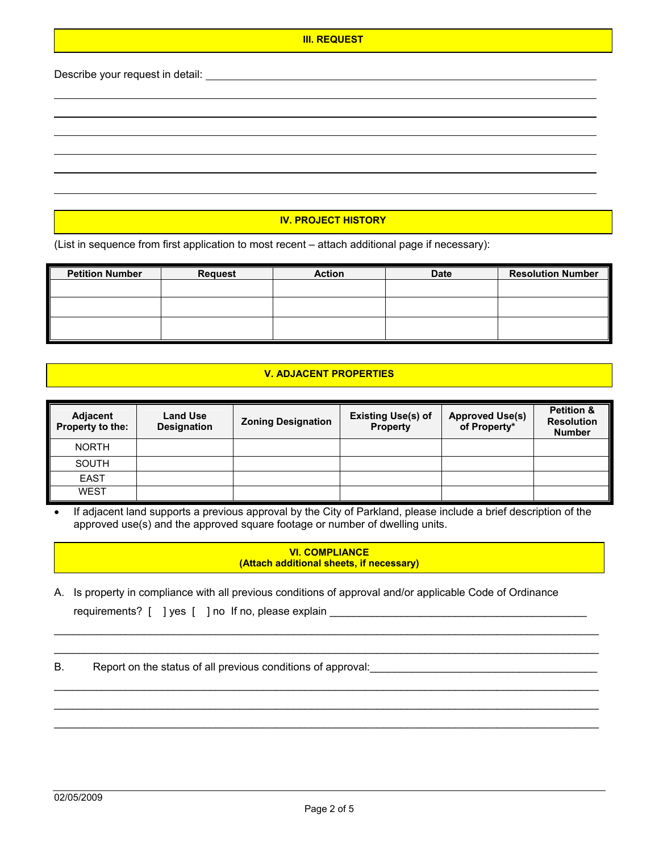#### **III. REQUEST**

Describe your request in detail:

 

### **IV. PROJECT HISTORY**

(List in sequence from first application to most recent – attach additional page if necessary):

| <b>Petition Number</b> | <b>Request</b> | <b>Action</b> | <b>Date</b> | <b>Resolution Number</b> |
|------------------------|----------------|---------------|-------------|--------------------------|
|                        |                |               |             |                          |
|                        |                |               |             |                          |
|                        |                |               |             |                          |

## **V. ADJACENT PROPERTIES**

| <b>Adjacent</b><br>Property to the: | <b>Land Use</b><br><b>Designation</b> | <b>Zoning Designation</b> | <b>Existing Use(s) of</b><br>Property | <b>Approved Use(s)</b><br>of Property* | <b>Petition &amp;</b><br><b>Resolution</b><br><b>Number</b> |
|-------------------------------------|---------------------------------------|---------------------------|---------------------------------------|----------------------------------------|-------------------------------------------------------------|
| <b>NORTH</b>                        |                                       |                           |                                       |                                        |                                                             |
| <b>SOUTH</b>                        |                                       |                           |                                       |                                        |                                                             |
| <b>EAST</b>                         |                                       |                           |                                       |                                        |                                                             |
| <b>WEST</b>                         |                                       |                           |                                       |                                        |                                                             |

• If adjacent land supports a previous approval by the City of Parkland, please include a brief description of the approved use(s) and the approved square footage or number of dwelling units.

#### **VI. COMPLIANCE (Attach additional sheets, if necessary)**

 $\_$  . The contribution of the contribution of the contribution of the contribution of the contribution of the contribution of the contribution of the contribution of the contribution of the contribution of the contributio  $\_$  . The contribution of the contribution of the contribution of the contribution of the contribution of the contribution of the contribution of the contribution of the contribution of the contribution of the contributio

 $\_$  . The contribution of the contribution of the contribution of the contribution of the contribution of the contribution of the contribution of the contribution of the contribution of the contribution of the contributio  $\_$  . The contribution of the contribution of the contribution of the contribution of the contribution of the contribution of the contribution of the contribution of the contribution of the contribution of the contributio  $\_$  . The contribution of the contribution of the contribution of the contribution of the contribution of the contribution of the contribution of the contribution of the contribution of the contribution of the contributio

A. Is property in compliance with all previous conditions of approval and/or applicable Code of Ordinance

requirements? [ ] yes [ ] no If no, please explain \_\_\_\_\_\_\_\_\_\_\_\_\_\_\_\_\_\_\_\_\_\_\_\_\_\_\_\_\_

B. Report on the status of all previous conditions of approval: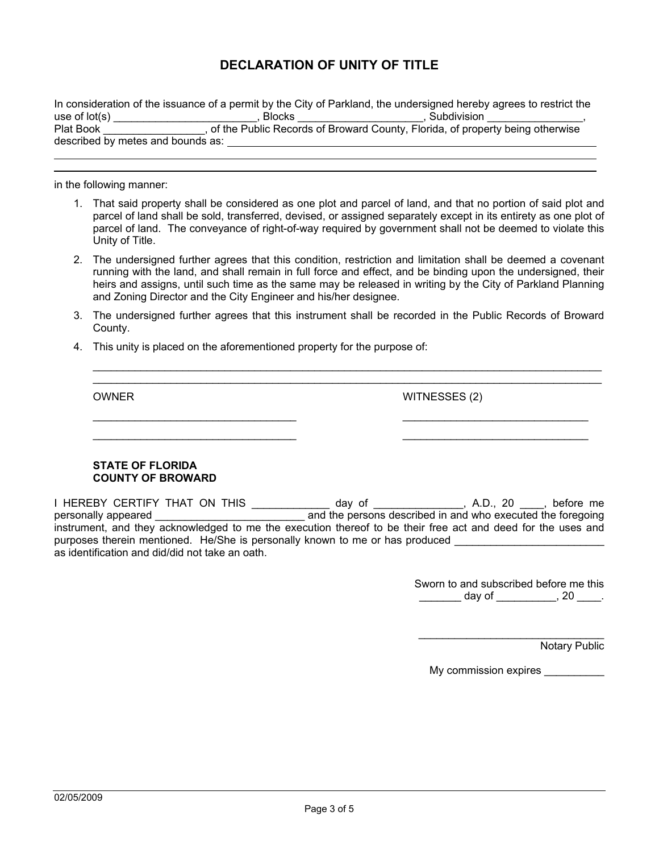## **DECLARATION OF UNITY OF TITLE**

In consideration of the issuance of a permit by the City of Parkland, the undersigned hereby agrees to restrict the use of lot(s) \_\_\_\_\_\_\_\_\_\_\_\_\_\_\_\_\_\_\_\_\_\_\_\_\_\_, Blocks \_\_\_\_\_\_\_\_\_\_\_\_\_\_\_\_\_\_, Subdivision \_\_\_\_\_\_\_\_\_\_\_\_\_, Plat Book \_\_\_\_\_\_\_\_\_\_\_\_\_\_\_\_, of the Public Records of Broward County, Florida, of property being otherwise described by metes and bounds as:

in the following manner:

- 1. That said property shall be considered as one plot and parcel of land, and that no portion of said plot and parcel of land shall be sold, transferred, devised, or assigned separately except in its entirety as one plot of parcel of land. The conveyance of right-of-way required by government shall not be deemed to violate this Unity of Title.
- 2. The undersigned further agrees that this condition, restriction and limitation shall be deemed a covenant running with the land, and shall remain in full force and effect, and be binding upon the undersigned, their heirs and assigns, until such time as the same may be released in writing by the City of Parkland Planning and Zoning Director and the City Engineer and his/her designee.
- 3. The undersigned further agrees that this instrument shall be recorded in the Public Records of Broward County.

 $\mathcal{L}_\text{max}$  , and the contribution of the contribution of the contribution of the contribution of the contribution of the contribution of the contribution of the contribution of the contribution of the contribution of t  $\_$  . The contribution of the contribution of the contribution of the contribution of the contribution of the contribution of the contribution of the contribution of the contribution of the contribution of the contributio

 $\mathcal{L}_\text{max}$  , and the contribution of the contribution of the contribution of the contribution of the contribution of the contribution of the contribution of the contribution of the contribution of the contribution of t  $\Box$  . The contribution of the contribution of the contribution of the contribution of the contribution of the contribution of the contribution of the contribution of the contribution of the contribution of the contributi

4. This unity is placed on the aforementioned property for the purpose of:

OWNER WITNESSES (2)

### **STATE OF FLORIDA COUNTY OF BROWARD**

I HEREBY CERTIFY THAT ON THIS \_\_\_\_\_\_\_\_\_\_\_\_\_ day of \_\_\_\_\_\_\_\_\_\_\_\_\_\_\_, A.D., 20 \_\_\_\_, before me personally appeared \_\_\_\_\_\_\_\_\_\_\_\_\_\_\_\_\_\_\_\_\_\_\_\_\_ and the persons described in and who executed the foregoing instrument, and they acknowledged to me the execution thereof to be their free act and deed for the uses and purposes therein mentioned. He/She is personally known to me or has produced as identification and did/did not take an oath.

> Sworn to and subscribed before me this \_\_\_\_\_\_\_\_ day of \_\_\_\_\_\_\_\_\_\_\_, 20 \_\_\_\_\_.

\_\_\_\_\_\_\_\_\_\_\_\_\_\_\_\_\_\_\_\_\_\_\_\_\_\_\_\_\_\_\_

Notary Public

My commission expires \_\_\_\_\_\_\_\_\_\_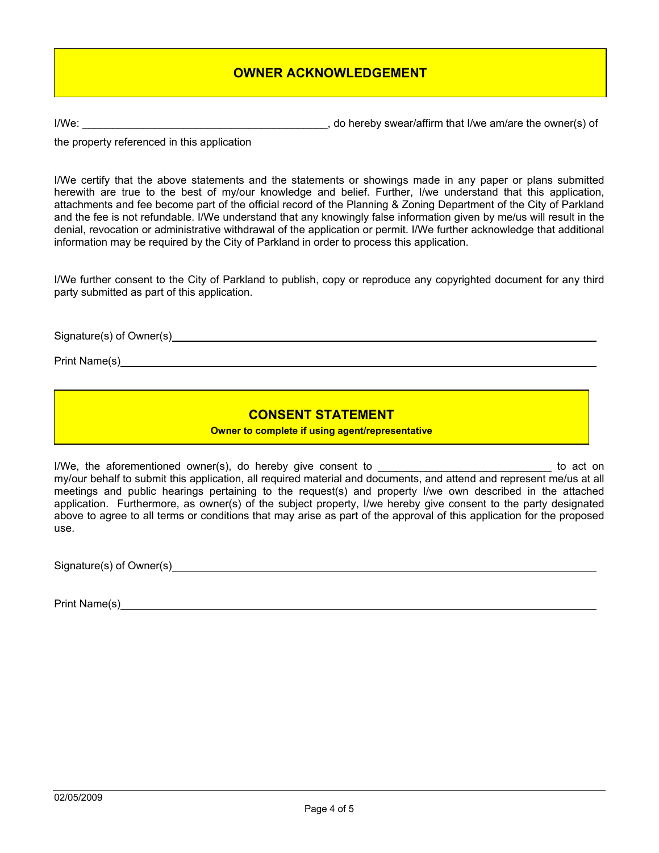## **OWNER ACKNOWLEDGEMENT**

I/We: \_\_\_\_\_\_\_\_\_\_\_\_\_\_\_\_\_\_\_\_\_\_\_\_\_\_\_\_\_\_\_\_\_\_\_\_\_\_\_\_\_, do hereby swear/affirm that I/we am/are the owner(s) of

the property referenced in this application

I/We certify that the above statements and the statements or showings made in any paper or plans submitted herewith are true to the best of my/our knowledge and belief. Further, I/we understand that this application, attachments and fee become part of the official record of the Planning & Zoning Department of the City of Parkland and the fee is not refundable. I/We understand that any knowingly false information given by me/us will result in the denial, revocation or administrative withdrawal of the application or permit. I/We further acknowledge that additional information may be required by the City of Parkland in order to process this application.

I/We further consent to the City of Parkland to publish, copy or reproduce any copyrighted document for any third party submitted as part of this application.

Signature(s) of Owner(s)

Print Name(s)

## **CONSENT STATEMENT**

**Owner to complete if using agent/representative** 

I/We, the aforementioned owner(s), do hereby give consent to \_\_\_\_\_\_\_\_\_\_\_\_\_\_\_\_\_\_\_\_\_\_\_\_\_\_\_\_\_ to act on my/our behalf to submit this application, all required material and documents, and attend and represent me/us at all meetings and public hearings pertaining to the request(s) and property I/we own described in the attached application. Furthermore, as owner(s) of the subject property, I/we hereby give consent to the party designated above to agree to all terms or conditions that may arise as part of the approval of this application for the proposed use.

Signature(s) of Owner(s) example and the set of  $\sim$  0.000 mm signature (s) of Owner(s)

Print Name(s)